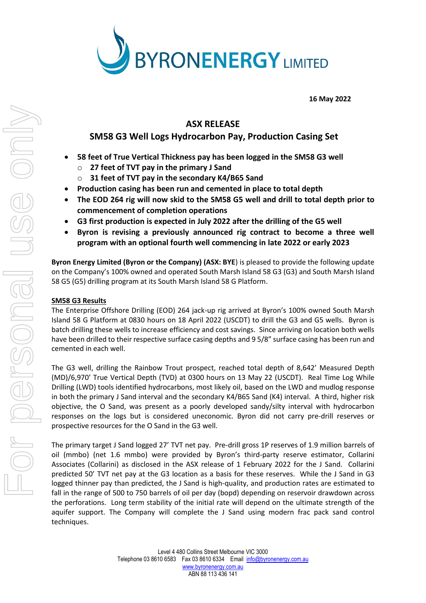

**16 May 2022**

## **ASX RELEASE**

# **SM58 G3 Well Logs Hydrocarbon Pay, Production Casing Set**

- **58 feet of True Vertical Thickness pay has been logged in the SM58 G3 well**
	- o **27 feet of TVT pay in the primary J Sand**
	- 31 feet of TVT pay in the secondary K4/B65 Sand
- **Production casing has been run and cemented in place to total depth**
- **The EOD 264 rig will now skid to the SM58 G5 well and drill to total depth prior to commencement of completion operations**
- **G3 first production is expected in July 2022 after the drilling of the G5 well**
- **Byron is revising a previously announced rig contract to become a three well program with an optional fourth well commencing in late 2022 or early 2023**

**Byron Energy Limited (Byron or the Company) (ASX: BYE**) is pleased to provide the following update on the Company's 100% owned and operated South Marsh Island 58 G3 (G3) and South Marsh Island 58 G5 (G5) drilling program at its South Marsh Island 58 G Platform.

## **SM58 G3 Results**

The Enterprise Offshore Drilling (EOD) 264 jack-up rig arrived at Byron's 100% owned South Marsh Island 58 G Platform at 0830 hours on 18 April 2022 (USCDT) to drill the G3 and G5 wells. Byron is batch drilling these wells to increase efficiency and cost savings. Since arriving on location both wells have been drilled to their respective surface casing depths and 9 5/8" surface casing has been run and cemented in each well.

The G3 well, drilling the Rainbow Trout prospect, reached total depth of 8,642' Measured Depth (MD)/6,970' True Vertical Depth (TVD) at 0300 hours on 13 May 22 (USCDT). Real Time Log While Drilling (LWD) tools identified hydrocarbons, most likely oil, based on the LWD and mudlog response in both the primary J Sand interval and the secondary K4/B65 Sand (K4) interval. A third, higher risk objective, the O Sand, was present as a poorly developed sandy/silty interval with hydrocarbon responses on the logs but is considered uneconomic. Byron did not carry pre-drill reserves or prospective resources for the O Sand in the G3 well.

The primary target J Sand logged 27' TVT net pay. Pre-drill gross 1P reserves of 1.9 million barrels of oil (mmbo) (net 1.6 mmbo) were provided by Byron's third-party reserve estimator, Collarini Associates (Collarini) as disclosed in the ASX release of 1 February 2022 for the J Sand. Collarini predicted 50' TVT net pay at the G3 location as a basis for these reserves. While the J Sand in G3 logged thinner pay than predicted, the J Sand is high-quality, and production rates are estimated to fall in the range of 500 to 750 barrels of oil per day (bopd) depending on reservoir drawdown across the perforations. Long term stability of the initial rate will depend on the ultimate strength of the aquifer support. The Company will complete the J Sand using modern frac pack sand control techniques.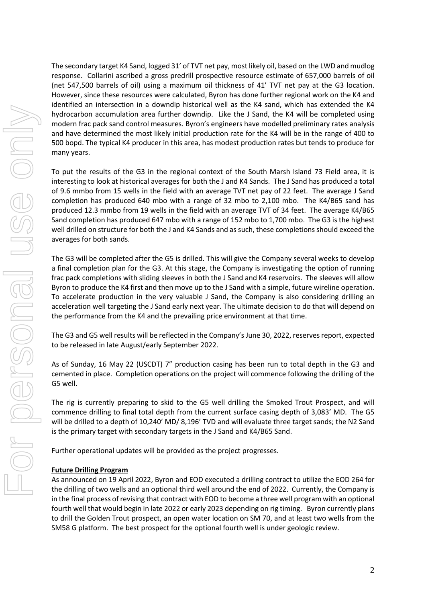The secondary target K4 Sand, logged 31' of TVT net pay, most likely oil, based on the LWD and mudlog response. Collarini ascribed a gross predrill prospective resource estimate of 657,000 barrels of oil (net 547,500 barrels of oil) using a maximum oil thickness of 41' TVT net pay at the G3 location. However, since these resources were calculated, Byron has done further regional work on the K4 and identified an intersection in a downdip historical well as the K4 sand, which has extended the K4 hydrocarbon accumulation area further downdip. Like the J Sand, the K4 will be completed using modern frac pack sand control measures. Byron's engineers have modelled preliminary rates analysis and have determined the most likely initial production rate for the K4 will be in the range of 400 to 500 bopd. The typical K4 producer in this area, has modest production rates but tends to produce for many years.

To put the results of the G3 in the regional context of the South Marsh Island 73 Field area, it is interesting to look at historical averages for both the J and K4 Sands. The J Sand has produced a total of 9.6 mmbo from 15 wells in the field with an average TVT net pay of 22 feet. The average J Sand completion has produced 640 mbo with a range of 32 mbo to 2,100 mbo. The K4/B65 sand has produced 12.3 mmbo from 19 wells in the field with an average TVT of 34 feet. The average K4/B65 Sand completion has produced 647 mbo with a range of 152 mbo to 1,700 mbo. The G3 is the highest well drilled on structure for both the J and K4 Sands and as such, these completions should exceed the averages for both sands.

The G3 will be completed after the G5 is drilled. This will give the Company several weeks to develop a final completion plan for the G3. At this stage, the Company is investigating the option of running frac pack completions with sliding sleeves in both the J Sand and K4 reservoirs. The sleeves will allow Byron to produce the K4 first and then move up to the J Sand with a simple, future wireline operation. To accelerate production in the very valuable J Sand, the Company is also considering drilling an acceleration well targeting the J Sand early next year. The ultimate decision to do that will depend on the performance from the K4 and the prevailing price environment at that time.

The G3 and G5 well results will be reflected in the Company's June 30, 2022, reserves report, expected to be released in late August/early September 2022.

As of Sunday, 16 May 22 (USCDT) 7" production casing has been run to total depth in the G3 and cemented in place. Completion operations on the project will commence following the drilling of the G5 well.

The rig is currently preparing to skid to the G5 well drilling the Smoked Trout Prospect, and will commence drilling to final total depth from the current surface casing depth of 3,083' MD. The G5 will be drilled to a depth of 10,240' MD/ 8,196' TVD and will evaluate three target sands; the N2 Sand is the primary target with secondary targets in the J Sand and K4/B65 Sand.

Further operational updates will be provided as the project progresses.

### **Future Drilling Program**

As announced on 19 April 2022, Byron and EOD executed a drilling contract to utilize the EOD 264 for the drilling of two wells and an optional third well around the end of 2022. Currently, the Company is in the final process of revising that contract with EOD to become a three well program with an optional fourth well that would begin in late 2022 or early 2023 depending on rig timing. Byron currently plans to drill the Golden Trout prospect, an open water location on SM 70, and at least two wells from the SM58 G platform. The best prospect for the optional fourth well is under geologic review.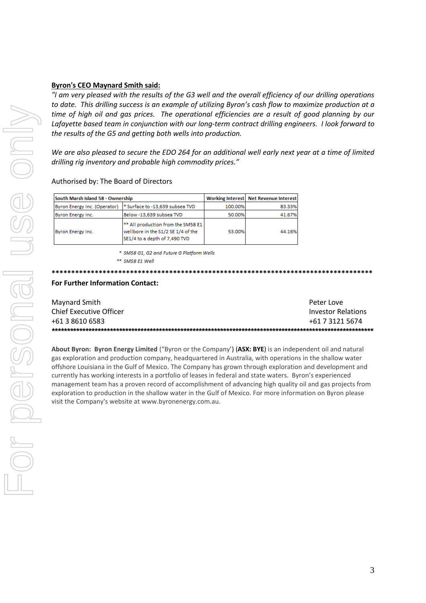### **Byron's CEO Maynard Smith said:**

"I am very pleased with the results of the G3 well and the overall efficiency of our drilling operations to date. This drilling success is an example of utilizing Byron's cash flow to maximize production at a time of high oil and gas prices. The operational efficiencies are a result of good planning by our Lafayette based team in conjunction with our long-term contract drilling engineers. I look forward to the results of the G5 and getting both wells into production.

We are also pleased to secure the EDO 264 for an additional well early next year at a time of limited drilling rig inventory and probable high commodity prices."

| Authorised by: The Board of Directors |  |  |  |  |
|---------------------------------------|--|--|--|--|
|---------------------------------------|--|--|--|--|

| South Marsh Island 58 - Ownership |                                                                                                                      |         | Working Interest Net Revenue Interest |
|-----------------------------------|----------------------------------------------------------------------------------------------------------------------|---------|---------------------------------------|
| Byron Energy Inc. (Operator)      | <sup>*</sup> Surface to -13,639 subsea TVD                                                                           | 100.00% | 83.33%                                |
| Byron Energy Inc.                 | Below -13,639 subsea TVD                                                                                             | 50.00%  | 41.67%                                |
| Byron Energy Inc.                 | <sup>**</sup> All production from the SM58 E1<br>wellbore in the S1/2 SE 1/4 of the<br>SE1/4 to a depth of 7,490 TVD | 53.00%  | 44.16%                                |

\* SM58 G1, G2 and Future G Platform Wells

\*\* SM58 E1 Well

#### 

#### **For Further Information Contact:**

| Maynard Smith           | Peter Love                |
|-------------------------|---------------------------|
| Chief Executive Officer | <b>Investor Relations</b> |
| +61 3 8610 6583         | +61 7 3121 5674           |
|                         |                           |

About Byron: Byron Energy Limited ("Byron or the Company') (ASX: BYE) is an independent oil and natural gas exploration and production company, headquartered in Australia, with operations in the shallow water offshore Louisiana in the Gulf of Mexico. The Company has grown through exploration and development and currently has working interests in a portfolio of leases in federal and state waters. Byron's experienced management team has a proven record of accomplishment of advancing high quality oil and gas projects from exploration to production in the shallow water in the Gulf of Mexico. For more information on Byron please visit the Company's website at www.byronenergy.com.au.